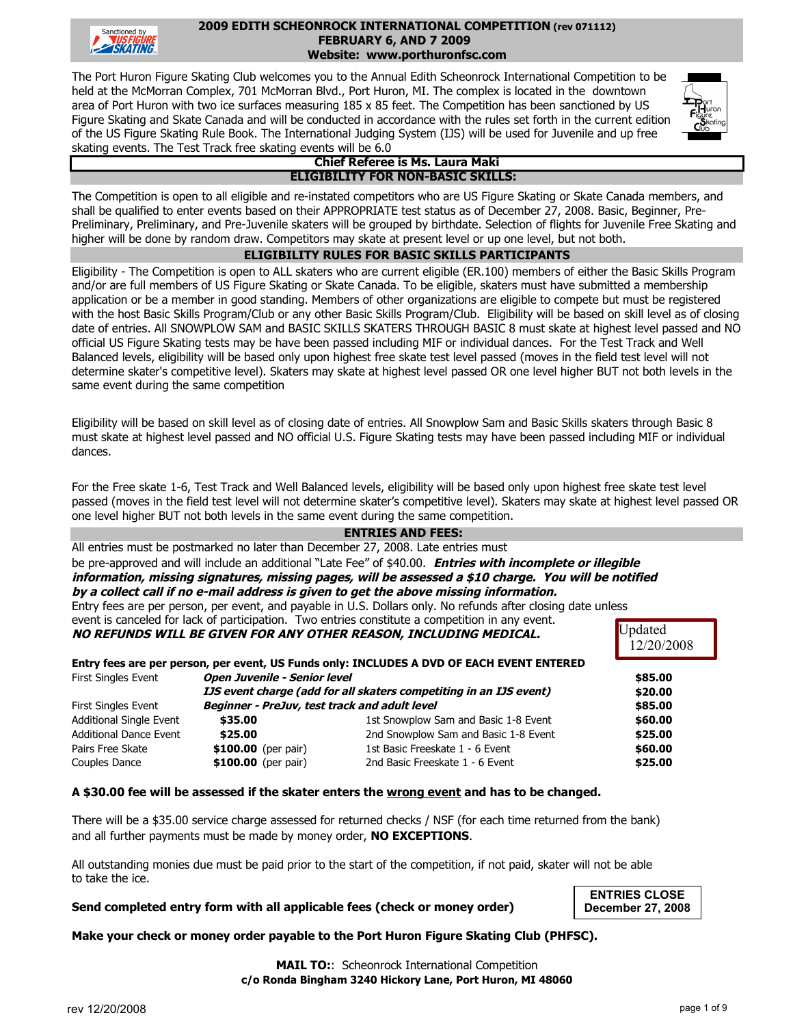

#### **FEBRUARY 6, AND 7 2009 2009 EDITH SCHEONROCK INTERNATIONAL COMPETITION (rev 071112) Website: www.porthuronfsc.com**

The Port Huron Figure Skating Club welcomes you to the Annual Edith Scheonrock International Competition to be held at the McMorran Complex, 701 McMorran Blvd., Port Huron, MI. The complex is located in the downtown area of Port Huron with two ice surfaces measuring 185 x 85 feet. The Competition has been sanctioned by US Figure Skating and Skate Canada and will be conducted in accordance with the rules set forth in the current edition of the US Figure Skating Rule Book. The International Judging System (IJS) will be used for Juvenile and up free skating events. The Test Track free skating events will be 6.0



#### **ELIGIBILITY FOR NON-BASIC SKILLS: Chief Referee is Ms. Laura Maki**

The Competition is open to all eligible and re-instated competitors who are US Figure Skating or Skate Canada members, and shall be qualified to enter events based on their APPROPRIATE test status as of December 27, 2008. Basic, Beginner, Pre-Preliminary, Preliminary, and Pre-Juvenile skaters will be grouped by birthdate. Selection of flights for Juvenile Free Skating and higher will be done by random draw. Competitors may skate at present level or up one level, but not both.

#### **ELIGIBILITY RULES FOR BASIC SKILLS PARTICIPANTS**

Eligibility - The Competition is open to ALL skaters who are current eligible (ER.100) members of either the Basic Skills Program and/or are full members of US Figure Skating or Skate Canada. To be eligible, skaters must have submitted a membership application or be a member in good standing. Members of other organizations are eligible to compete but must be registered with the host Basic Skills Program/Club or any other Basic Skills Program/Club. Eligibility will be based on skill level as of closing date of entries. All SNOWPLOW SAM and BASIC SKILLS SKATERS THROUGH BASIC 8 must skate at highest level passed and NO official US Figure Skating tests may be have been passed including MIF or individual dances. For the Test Track and Well Balanced levels, eligibility will be based only upon highest free skate test level passed (moves in the field test level will not determine skater's competitive level). Skaters may skate at highest level passed OR one level higher BUT not both levels in the same event during the same competition

Eligibility will be based on skill level as of closing date of entries. All Snowplow Sam and Basic Skills skaters through Basic 8 must skate at highest level passed and NO official U.S. Figure Skating tests may have been passed including MIF or individual dances.

For the Free skate 1-6, Test Track and Well Balanced levels, eligibility will be based only upon highest free skate test level passed (moves in the field test level will not determine skater's competitive level). Skaters may skate at highest level passed OR one level higher BUT not both levels in the same event during the same competition.

#### **ENTRIES AND FEES:**

All entries must be postmarked no later than December 27, 2008. Late entries must

**information, missing signatures, missing pages, will be assessed a \$10 charge. You will be notified by a collect call if no e-mail address is given to get the above missing information.** be pre-approved and will include an additional "Late Fee" of \$40.00. **Entries with incomplete or illegible**

Entry fees are per person, per event, and payable in U.S. Dollars only. No refunds after closing date unless

|                                                            |                                      | <b>Updated</b><br>12/20/2008                                                                                                                                                                                                                                                                                                                                                                    |
|------------------------------------------------------------|--------------------------------------|-------------------------------------------------------------------------------------------------------------------------------------------------------------------------------------------------------------------------------------------------------------------------------------------------------------------------------------------------------------------------------------------------|
|                                                            |                                      |                                                                                                                                                                                                                                                                                                                                                                                                 |
| <b>Open Juvenile - Senior level</b><br>First Singles Event |                                      |                                                                                                                                                                                                                                                                                                                                                                                                 |
|                                                            |                                      | \$20.00                                                                                                                                                                                                                                                                                                                                                                                         |
|                                                            |                                      | \$85.00                                                                                                                                                                                                                                                                                                                                                                                         |
| \$35.00                                                    | 1st Snowplow Sam and Basic 1-8 Event | \$60.00                                                                                                                                                                                                                                                                                                                                                                                         |
| \$25.00                                                    | 2nd Snowplow Sam and Basic 1-8 Event | \$25.00                                                                                                                                                                                                                                                                                                                                                                                         |
| \$100.00 (per pair)                                        | 1st Basic Freeskate 1 - 6 Event      | \$60.00                                                                                                                                                                                                                                                                                                                                                                                         |
| \$100.00 (per pair)                                        | 2nd Basic Freeskate 1 - 6 Event      | \$25.00                                                                                                                                                                                                                                                                                                                                                                                         |
|                                                            |                                      | event is canceled for lack of participation. Two entries constitute a competition in any event.<br>NO REFUNDS WILL BE GIVEN FOR ANY OTHER REASON, INCLUDING MEDICAL.<br>Entry fees are per person, per event, US Funds only: INCLUDES A DVD OF EACH EVENT ENTERED<br>IJS event charge (add for all skaters competiting in an IJS event)<br><b>Beginner - PreJuv, test track and adult level</b> |

#### **A \$30.00 fee will be assessed if the skater enters the wrong event and has to be changed.**

There will be a \$35.00 service charge assessed for returned checks / NSF (for each time returned from the bank) and all further payments must be made by money order, **NO EXCEPTIONS**.

All outstanding monies due must be paid prior to the start of the competition, if not paid, skater will not be able to take the ice.

#### **Send completed entry form with all applicable fees (check or money order)**

**ENTRIES CLOSE December 27, 2008**

**Make your check or money order payable to the Port Huron Figure Skating Club (PHFSC).**

**c/o Ronda Bingham 3240 Hickory Lane, Port Huron, MI 48060 MAIL TO::** Scheonrock International Competition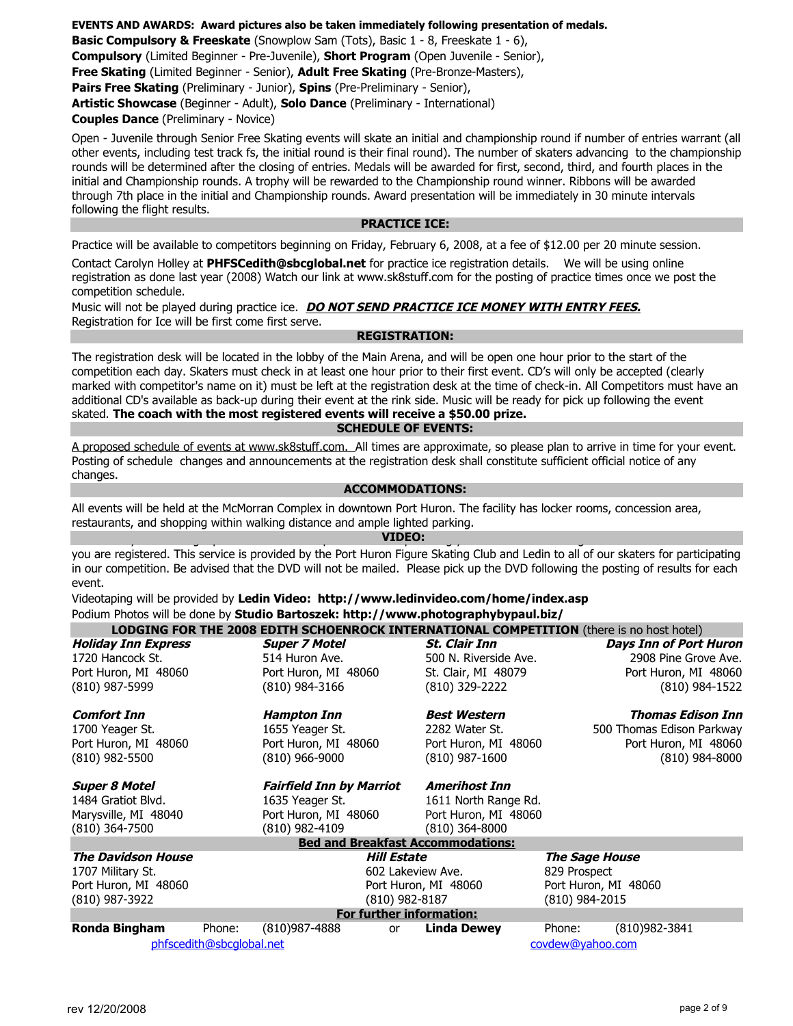**EVENTS AND AWARDS: Award pictures also be taken immediately following presentation of medals.**

**Basic Compulsory & Freeskate** (Snowplow Sam (Tots), Basic 1 - 8, Freeskate 1 - 6),

**Compulsory** (Limited Beginner - Pre-Juvenile), **Short Program** (Open Juvenile - Senior),

**Free Skating** (Limited Beginner - Senior), **Adult Free Skating** (Pre-Bronze-Masters),

**Pairs Free Skating** (Preliminary - Junior), **Spins** (Pre-Preliminary - Senior),

**Artistic Showcase** (Beginner - Adult), **Solo Dance** (Preliminary - International)

**Couples Dance** (Preliminary - Novice)

Open - Juvenile through Senior Free Skating events will skate an initial and championship round if number of entries warrant (all other events, including test track fs, the initial round is their final round). The number of skaters advancing to the championship rounds will be determined after the closing of entries. Medals will be awarded for first, second, third, and fourth places in the initial and Championship rounds. A trophy will be rewarded to the Championship round winner. Ribbons will be awarded through 7th place in the initial and Championship rounds. Award presentation will be immediately in 30 minute intervals following the flight results.

#### **PRACTICE ICE:**

Practice will be available to competitors beginning on Friday, February 6, 2008, at a fee of \$12.00 per 20 minute session.

Contact Carolyn Holley at **PHFSCedith@sbcglobal.net** for practice ice registration details. We will be using online registration as done last year (2008) Watch our link at www.sk8stuff.com for the posting of practice times once we post the competition schedule.

Registration for Ice will be first come first serve. Music will not be played during practice ice. **DO NOT SEND PRACTICE ICE MONEY WITH ENTRY FEES.**

**REGISTRATION:** 

The registration desk will be located in the lobby of the Main Arena, and will be open one hour prior to the start of the competition each day. Skaters must check in at least one hour prior to their first event. CD's will only be accepted (clearly marked with competitor's name on it) must be left at the registration desk at the time of check-in. All Competitors must have an additional CD's available as back-up during their event at the rink side. Music will be ready for pick up following the event skated. **The coach with the most registered events will receive a \$50.00 prize.**

#### **SCHEDULE OF EVENTS:**

A proposed schedule of events at www.sk8stuff.com. All times are approximate, so please plan to arrive in time for your event. Posting of schedule changes and announcements at the registration desk shall constitute sufficient official notice of any changes.

#### **ACCOMMODATIONS:**

All events will be held at the McMorran Complex in downtown Port Huron. The facility has locker rooms, concession area, restaurants, and shopping within walking distance and ample lighted parking.

**VIDEO:**   $\mathbf{A}$  and  $\mathbf{A}$  part of our 2009 competition we are providing you a DVD of the full flight for each event or which for each event or which for the full flight for each event or which for each event or which for each

you are registered. This service is provided by the Port Huron Figure Skating Club and Ledin to all of our skaters for participating in our competition. Be advised that the DVD will not be mailed. Please pick up the DVD following the posting of results for each event.

Videotaping will be provided by **Ledin Video: http://www.ledinvideo.com/home/index.asp** Podium Photos will be done by **Studio Bartoszek: http://www.photographybypaul.biz/**

|                            |                          |                                 |                          | <b>LODGING FOR THE 2008 EDITH SCHOENROCK INTERNATIONAL COMPETITION</b> (there is no host hotel) |              |                           |                               |
|----------------------------|--------------------------|---------------------------------|--------------------------|-------------------------------------------------------------------------------------------------|--------------|---------------------------|-------------------------------|
| <b>Holiday Inn Express</b> |                          | <b>Super 7 Motel</b>            |                          | <i><b>St. Clair Inn</b></i>                                                                     |              |                           | <b>Days Inn of Port Huron</b> |
| 1720 Hancock St.           |                          | 514 Huron Ave.                  |                          | 500 N. Riverside Ave.                                                                           |              |                           | 2908 Pine Grove Ave.          |
| Port Huron, MI 48060       |                          | Port Huron, MI 48060            |                          | St. Clair, MI 48079                                                                             |              |                           | Port Huron, MI 48060          |
| (810) 987-5999             |                          | (810) 984-3166                  |                          | (810) 329-2222                                                                                  |              |                           | $(810)$ 984-1522              |
| <b>Comfort Inn</b>         |                          | <b>Hampton Inn</b>              |                          | <b>Best Western</b>                                                                             |              |                           | Thomas Edison Inn             |
| 1700 Yeager St.            |                          | 1655 Yeager St.                 |                          | 2282 Water St.                                                                                  |              | 500 Thomas Edison Parkway |                               |
| Port Huron, MI 48060       |                          | Port Huron, MI 48060            |                          | Port Huron, MI 48060                                                                            |              |                           | Port Huron, MI 48060          |
| (810) 982-5500             |                          | $(810)$ 966-9000                |                          | $(810)$ 987-1600                                                                                |              |                           | $(810)$ 984-8000              |
| <b>Super 8 Motel</b>       |                          | <b>Fairfield Inn by Marriot</b> |                          | <b>Amerihost Inn</b>                                                                            |              |                           |                               |
| 1484 Gratiot Blvd.         |                          | 1635 Yeager St.                 |                          | 1611 North Range Rd.                                                                            |              |                           |                               |
| Marysville, MI 48040       |                          | Port Huron, MI 48060            |                          | Port Huron, MI 48060                                                                            |              |                           |                               |
| (810) 364-7500             |                          | (810) 982-4109                  |                          | $(810)$ 364-8000                                                                                |              |                           |                               |
|                            |                          |                                 |                          | <b>Bed and Breakfast Accommodations:</b>                                                        |              |                           |                               |
| <b>The Davidson House</b>  |                          |                                 | Hill Estate              |                                                                                                 |              | <b>The Sage House</b>     |                               |
| 1707 Military St.          |                          |                                 | 602 Lakeview Ave.        |                                                                                                 | 829 Prospect |                           |                               |
| Port Huron, MI 48060       |                          |                                 |                          | Port Huron, MI 48060                                                                            |              | Port Huron, MI 48060      |                               |
| (810) 987-3922             |                          |                                 | (810) 982-8187           |                                                                                                 |              | (810) 984-2015            |                               |
|                            |                          |                                 | For further information: |                                                                                                 |              |                           |                               |
| Ronda Bingham              | Phone:                   | (810)987-4888                   | <b>or</b>                | <b>Linda Dewey</b>                                                                              | Phone:       | $(810)982 - 3841$         |                               |
|                            | phfscedith@sbcqlobal.net |                                 |                          |                                                                                                 |              | covdew@yahoo.com          |                               |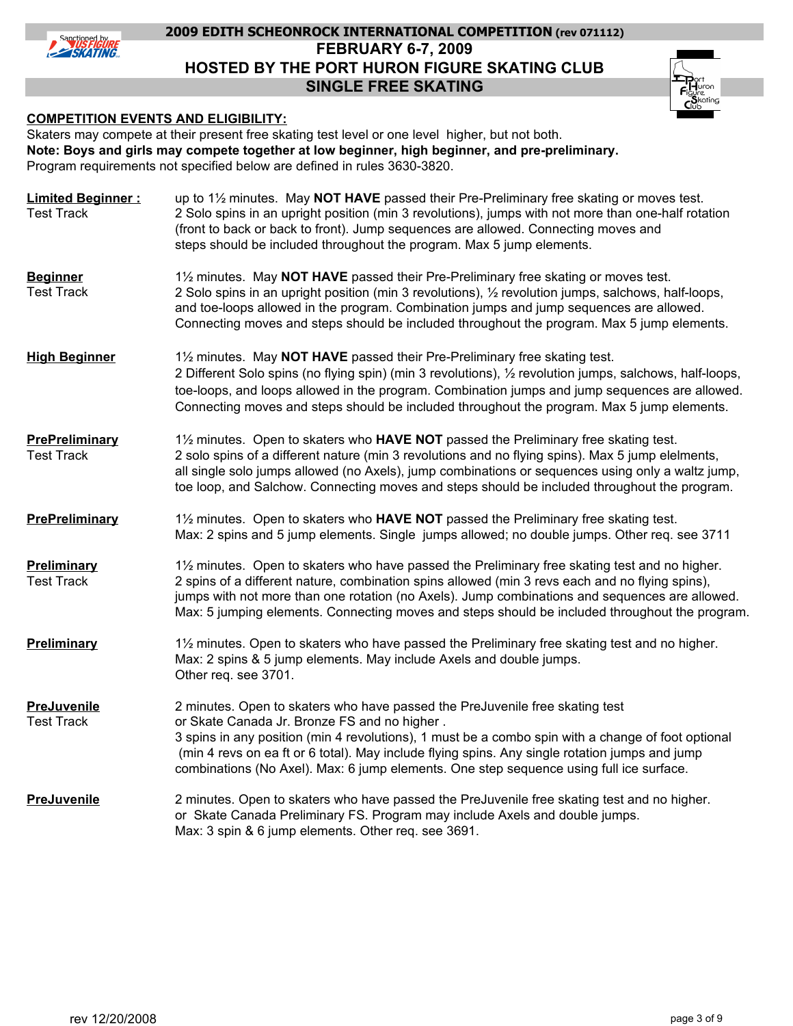

# **FEBRUARY 6-7, 2009 HOSTED BY THE PORT HURON FIGURE SKATING CLUB SINGLE FREE SKATING 2009 EDITH SCHEONROCK INTERNATIONAL COMPETITION (rev 071112)**

#### **COMPETITION EVENTS AND ELIGIBILITY:**

Skaters may compete at their present free skating test level or one level higher, but not both. Program requirements not specified below are defined in rules 3630-3820. **Note: Boys and girls may compete together at low beginner, high beginner, and pre-preliminary.**

**Limited Beginner :** Test Track 2 Solo spins in an upright position (min 3 revolutions), jumps with not more than one-half rotation (front to back or back to front). Jump sequences are allowed. Connecting moves and steps should be included throughout the program. Max 5 jump elements. **Beginner** Test Track and toe-loops allowed in the program. Combination jumps and jump sequences are allowed. Connecting moves and steps should be included throughout the program. Max 5 jump elements. **High Beginner** toe-loops, and loops allowed in the program. Combination jumps and jump sequences are allowed. Connecting moves and steps should be included throughout the program. Max 5 jump elements. Test Track **Preliminary** 1<sup>1</sup>/<sub>2</sub> minutes. Open to skaters who have passed the Preliminary free skating test and no higher. Test Track 2 spins of a different nature, combination spins allowed (min 3 revs each and no flying spins), Max: 5 jumping elements. Connecting moves and steps should be included throughout the program. **Preliminary** 1<sup>1</sup>/<sub>2</sub> minutes. Open to skaters who have passed the Preliminary free skating test and no higher. Test Track or Skate Canada Jr. Bronze FS and no higher . 3 spins in any position (min 4 revolutions), 1 must be a combo spin with a change of foot optional (min 4 revs on ea ft or 6 total). May include flying spins. Any single rotation jumps and jump combinations (No Axel). Max: 6 jump elements. One step sequence using full ice surface. up to 1½ minutes. May **NOT HAVE** passed their Pre-Preliminary free skating or moves test. 1½ minutes. May **NOT HAVE** passed their Pre-Preliminary free skating or moves test. 2 Solo spins in an upright position (min 3 revolutions), ½ revolution jumps, salchows, half-loops, 1½ minutes. May **NOT HAVE** passed their Pre-Preliminary free skating test. 2 Different Solo spins (no flying spin) (min 3 revolutions), ½ revolution jumps, salchows, half-loops, **PrePreliminary** 1<sup>1</sup>/<sub>2</sub> minutes. Open to skaters who **HAVE NOT** passed the Preliminary free skating test. 2 solo spins of a different nature (min 3 revolutions and no flying spins). Max 5 jump elelments, all single solo jumps allowed (no Axels), jump combinations or sequences using only a waltz jump, toe loop, and Salchow. Connecting moves and steps should be included throughout the program. **PrePreliminary** 1<sup>1</sup>/<sub>2</sub> minutes. Open to skaters who **HAVE NOT** passed the Preliminary free skating test. Max: 2 spins and 5 jump elements. Single jumps allowed; no double jumps. Other req. see 3711 jumps with not more than one rotation (no Axels). Jump combinations and sequences are allowed. Max: 2 spins & 5 jump elements. May include Axels and double jumps. Other req. see 3701. **PreJuvenile** 2 minutes. Open to skaters who have passed the PreJuvenile free skating test **PreJuvenile** 2 minutes. Open to skaters who have passed the PreJuvenile free skating test and no higher. or Skate Canada Preliminary FS. Program may include Axels and double jumps. Max: 3 spin & 6 jump elements. Other req. see 3691.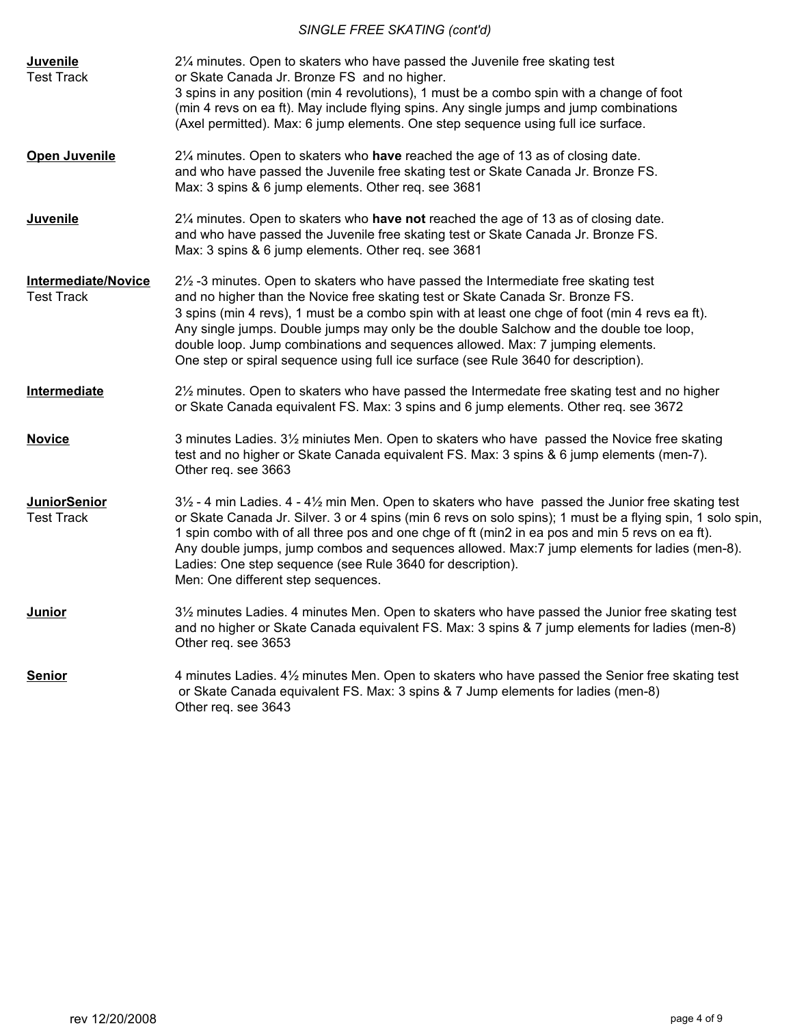# *SINGLE FREE SKATING (cont'd)*

| <b>Juvenile</b><br><b>Test Track</b>            | 21/4 minutes. Open to skaters who have passed the Juvenile free skating test<br>or Skate Canada Jr. Bronze FS and no higher.<br>3 spins in any position (min 4 revolutions), 1 must be a combo spin with a change of foot<br>(min 4 revs on ea ft). May include flying spins. Any single jumps and jump combinations<br>(Axel permitted). Max: 6 jump elements. One step sequence using full ice surface.                                                                                                                                             |
|-------------------------------------------------|-------------------------------------------------------------------------------------------------------------------------------------------------------------------------------------------------------------------------------------------------------------------------------------------------------------------------------------------------------------------------------------------------------------------------------------------------------------------------------------------------------------------------------------------------------|
| <b>Open Juvenile</b>                            | 2¼ minutes. Open to skaters who have reached the age of 13 as of closing date.<br>and who have passed the Juvenile free skating test or Skate Canada Jr. Bronze FS.<br>Max: 3 spins & 6 jump elements. Other req. see 3681                                                                                                                                                                                                                                                                                                                            |
| Juvenile                                        | 21/4 minutes. Open to skaters who have not reached the age of 13 as of closing date.<br>and who have passed the Juvenile free skating test or Skate Canada Jr. Bronze FS.<br>Max: 3 spins & 6 jump elements. Other req. see 3681                                                                                                                                                                                                                                                                                                                      |
| <b>Intermediate/Novice</b><br><b>Test Track</b> | $2\frac{1}{2}$ -3 minutes. Open to skaters who have passed the Intermediate free skating test<br>and no higher than the Novice free skating test or Skate Canada Sr. Bronze FS.<br>3 spins (min 4 revs), 1 must be a combo spin with at least one chge of foot (min 4 revs ea ft).<br>Any single jumps. Double jumps may only be the double Salchow and the double toe loop,<br>double loop. Jump combinations and sequences allowed. Max: 7 jumping elements.<br>One step or spiral sequence using full ice surface (see Rule 3640 for description). |
| Intermediate                                    | 21/2 minutes. Open to skaters who have passed the Intermedate free skating test and no higher<br>or Skate Canada equivalent FS. Max: 3 spins and 6 jump elements. Other req. see 3672                                                                                                                                                                                                                                                                                                                                                                 |
| <b>Novice</b>                                   | 3 minutes Ladies. 3½ miniutes Men. Open to skaters who have passed the Novice free skating<br>test and no higher or Skate Canada equivalent FS. Max: 3 spins & 6 jump elements (men-7).<br>Other req. see 3663                                                                                                                                                                                                                                                                                                                                        |
| <b>JuniorSenior</b><br><b>Test Track</b>        | $3\frac{1}{2}$ - 4 min Ladies. 4 - 4 $\frac{1}{2}$ min Men. Open to skaters who have passed the Junior free skating test<br>or Skate Canada Jr. Silver. 3 or 4 spins (min 6 revs on solo spins); 1 must be a flying spin, 1 solo spin,<br>1 spin combo with of all three pos and one chge of ft (min2 in ea pos and min 5 revs on ea ft).<br>Any double jumps, jump combos and sequences allowed. Max:7 jump elements for ladies (men-8).<br>Ladies: One step sequence (see Rule 3640 for description).<br>Men: One different step sequences.         |
| <b>Junior</b>                                   | 3½ minutes Ladies. 4 minutes Men. Open to skaters who have passed the Junior free skating test<br>and no higher or Skate Canada equivalent FS. Max: 3 spins & 7 jump elements for ladies (men-8)<br>Other req. see 3653                                                                                                                                                                                                                                                                                                                               |
| <b>Senior</b>                                   | 4 minutes Ladies. 4½ minutes Men. Open to skaters who have passed the Senior free skating test<br>or Skate Canada equivalent FS. Max: 3 spins & 7 Jump elements for ladies (men-8)<br>Other req. see 3643                                                                                                                                                                                                                                                                                                                                             |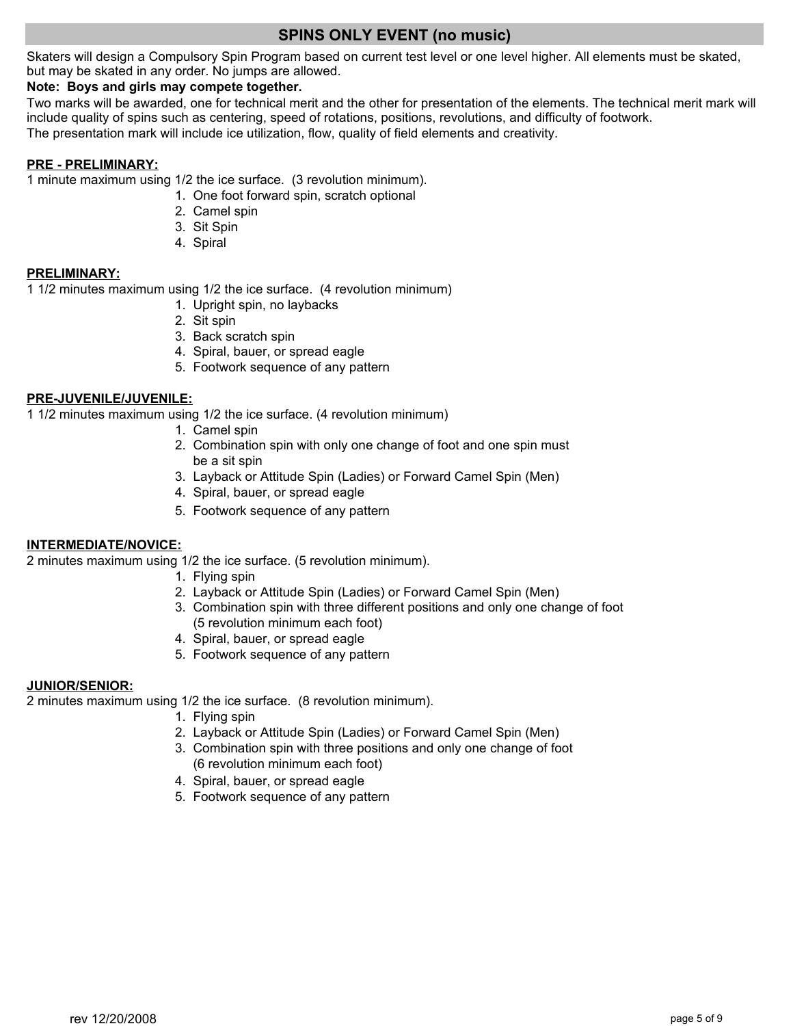# **SPINS ONLY EVENT (no music)**

Skaters will design a Compulsory Spin Program based on current test level or one level higher. All elements must be skated, but may be skated in any order. No jumps are allowed.

#### **Note: Boys and girls may compete together.**

The presentation mark will include ice utilization, flow, quality of field elements and creativity. Two marks will be awarded, one for technical merit and the other for presentation of the elements. The technical merit mark will include quality of spins such as centering, speed of rotations, positions, revolutions, and difficulty of footwork.

#### **PRE - PRELIMINARY:**

1 minute maximum using 1/2 the ice surface. (3 revolution minimum).

- 1. One foot forward spin, scratch optional
- 2. Camel spin
- 3. Sit Spin
- 4. Spiral

#### **PRELIMINARY:**

1 1/2 minutes maximum using 1/2 the ice surface. (4 revolution minimum)

- 1. Upright spin, no laybacks
- 2. Sit spin
- 3. Back scratch spin
- 4. Spiral, bauer, or spread eagle
- 5. Footwork sequence of any pattern

#### **PRE-JUVENILE/JUVENILE:**

1 1/2 minutes maximum using 1/2 the ice surface. (4 revolution minimum)

- 1. Camel spin
- 2. Combination spin with only one change of foot and one spin must be a sit spin
- 3. Layback or Attitude Spin (Ladies) or Forward Camel Spin (Men)
- 4. Spiral, bauer, or spread eagle
- 5. Footwork sequence of any pattern

#### **INTERMEDIATE/NOVICE:**

2 minutes maximum using 1/2 the ice surface. (5 revolution minimum).

- 1. Flying spin
- 2. Layback or Attitude Spin (Ladies) or Forward Camel Spin (Men)
- 3. Combination spin with three different positions and only one change of foot (5 revolution minimum each foot)
- 4. Spiral, bauer, or spread eagle
- 5. Footwork sequence of any pattern

#### **JUNIOR/SENIOR:**

2 minutes maximum using 1/2 the ice surface. (8 revolution minimum).

- 1. Flying spin
- 2. Layback or Attitude Spin (Ladies) or Forward Camel Spin (Men)
- 3. Combination spin with three positions and only one change of foot (6 revolution minimum each foot)
- 4. Spiral, bauer, or spread eagle
- 5. Footwork sequence of any pattern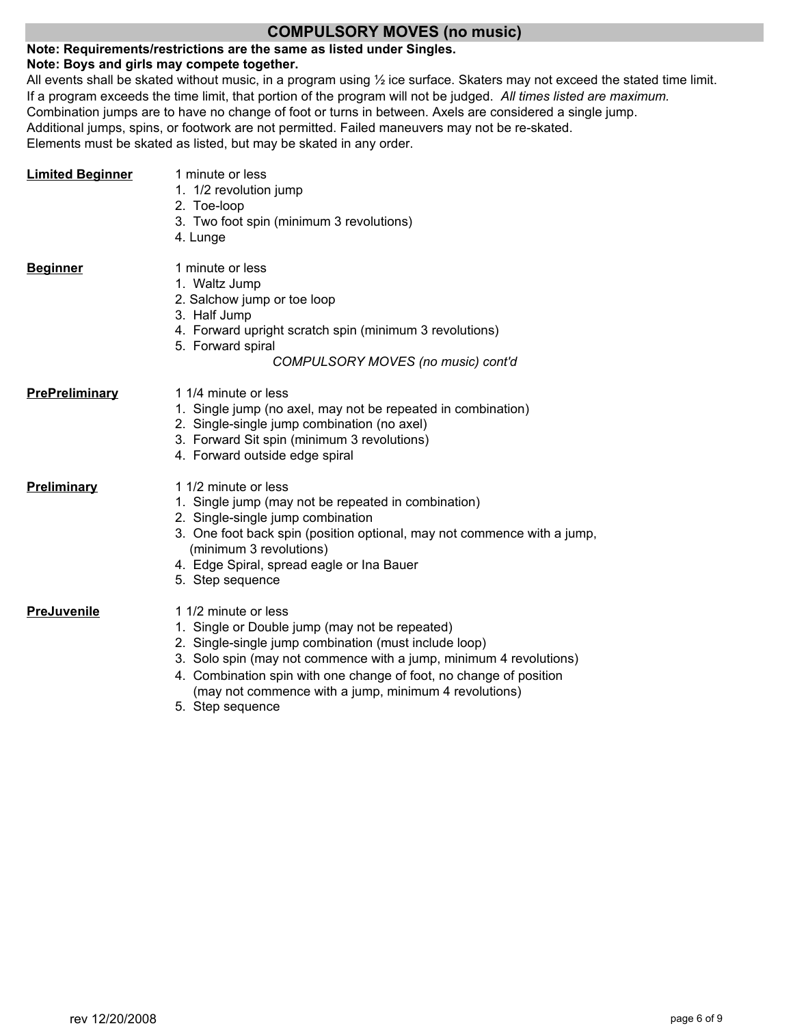## **COMPULSORY MOVES (no music)**

# **Note: Requirements/restrictions are the same as listed under Singles.**

#### **Note: Boys and girls may compete together.**

All events shall be skated without music, in a program using ½ ice surface. Skaters may not exceed the stated time limit. Additional jumps, spins, or footwork are not permitted. Failed maneuvers may not be re-skated. Elements must be skated as listed, but may be skated in any order. If a program exceeds the time limit, that portion of the program will not be judged. *All times listed are maximum.* Combination jumps are to have no change of foot or turns in between. Axels are considered a single jump.

| <b>Limited Beginner</b> | 1 minute or less<br>1. 1/2 revolution jump<br>2. Toe-loop<br>3. Two foot spin (minimum 3 revolutions)<br>4. Lunge                                                                                                                                                                       |
|-------------------------|-----------------------------------------------------------------------------------------------------------------------------------------------------------------------------------------------------------------------------------------------------------------------------------------|
| <b>Beginner</b>         | 1 minute or less<br>1. Waltz Jump<br>2. Salchow jump or toe loop<br>3. Half Jump<br>4. Forward upright scratch spin (minimum 3 revolutions)<br>5. Forward spiral<br>COMPULSORY MOVES (no music) cont'd                                                                                  |
| PrePreliminary          | 1 1/4 minute or less<br>1. Single jump (no axel, may not be repeated in combination)<br>2. Single-single jump combination (no axel)<br>3. Forward Sit spin (minimum 3 revolutions)<br>4. Forward outside edge spiral                                                                    |
| Preliminary             | 1 1/2 minute or less<br>1. Single jump (may not be repeated in combination)<br>2. Single-single jump combination<br>3. One foot back spin (position optional, may not commence with a jump,<br>(minimum 3 revolutions)<br>4. Edge Spiral, spread eagle or Ina Bauer<br>5. Step sequence |
| PreJuvenile             | 1 1/2 minute or less<br>1. Single or Double jump (may not be repeated)<br>2. Single-single jump combination (must include loop)<br>3. Solo spin (may not commence with a jump, minimum 4 revolutions)<br>4. Combination spin with one change of foot, no change of position             |

 (may not commence with a jump, minimum 4 revolutions) 5. Step sequence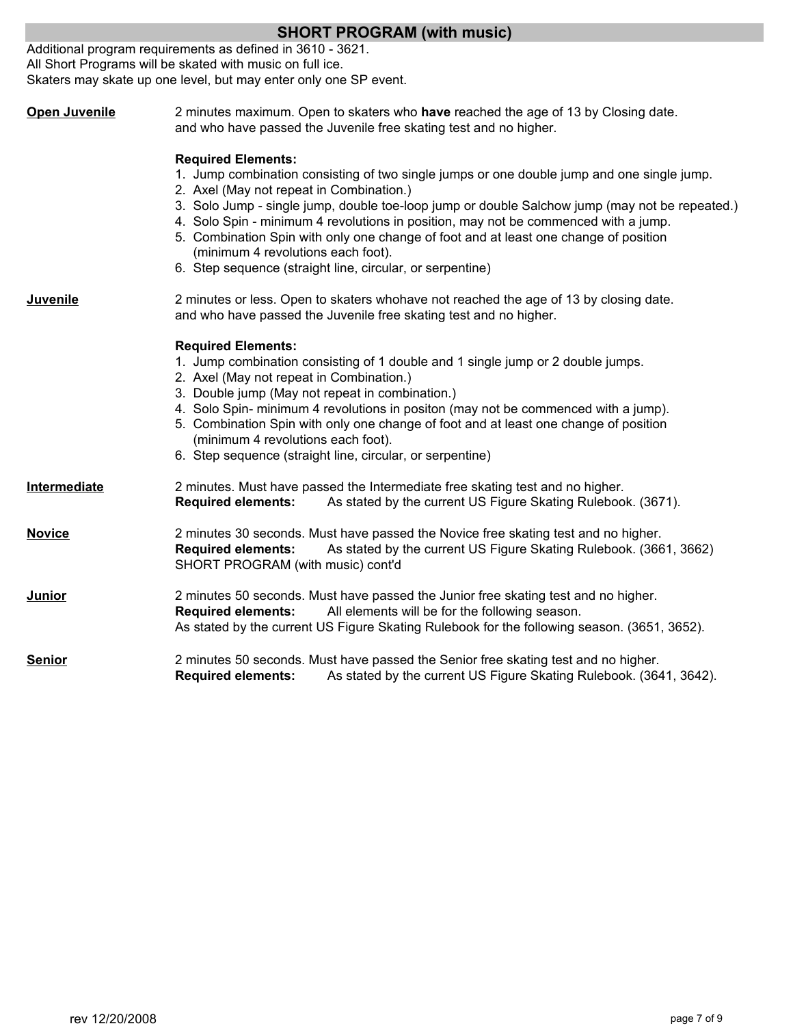|                                                                                                                                                                               | <b>SHORT PROGRAM (with music)</b>                                                                                                                                                                                                                                                                                                                                                                                                                                                                                                                       |  |  |  |
|-------------------------------------------------------------------------------------------------------------------------------------------------------------------------------|---------------------------------------------------------------------------------------------------------------------------------------------------------------------------------------------------------------------------------------------------------------------------------------------------------------------------------------------------------------------------------------------------------------------------------------------------------------------------------------------------------------------------------------------------------|--|--|--|
|                                                                                                                                                                               | Additional program requirements as defined in 3610 - 3621.<br>All Short Programs will be skated with music on full ice.<br>Skaters may skate up one level, but may enter only one SP event.                                                                                                                                                                                                                                                                                                                                                             |  |  |  |
| <b>Open Juvenile</b>                                                                                                                                                          | 2 minutes maximum. Open to skaters who have reached the age of 13 by Closing date.<br>and who have passed the Juvenile free skating test and no higher.                                                                                                                                                                                                                                                                                                                                                                                                 |  |  |  |
|                                                                                                                                                                               | <b>Required Elements:</b><br>1. Jump combination consisting of two single jumps or one double jump and one single jump.<br>2. Axel (May not repeat in Combination.)<br>3. Solo Jump - single jump, double toe-loop jump or double Salchow jump (may not be repeated.)<br>4. Solo Spin - minimum 4 revolutions in position, may not be commenced with a jump.<br>5. Combination Spin with only one change of foot and at least one change of position<br>(minimum 4 revolutions each foot).<br>6. Step sequence (straight line, circular, or serpentine) |  |  |  |
| <b>Juvenile</b><br>2 minutes or less. Open to skaters whohave not reached the age of 13 by closing date.<br>and who have passed the Juvenile free skating test and no higher. |                                                                                                                                                                                                                                                                                                                                                                                                                                                                                                                                                         |  |  |  |
|                                                                                                                                                                               | <b>Required Elements:</b><br>1. Jump combination consisting of 1 double and 1 single jump or 2 double jumps.<br>2. Axel (May not repeat in Combination.)<br>3. Double jump (May not repeat in combination.)<br>4. Solo Spin- minimum 4 revolutions in positon (may not be commenced with a jump).<br>5. Combination Spin with only one change of foot and at least one change of position<br>(minimum 4 revolutions each foot).<br>6. Step sequence (straight line, circular, or serpentine)                                                            |  |  |  |
| Intermediate                                                                                                                                                                  | 2 minutes. Must have passed the Intermediate free skating test and no higher.<br><b>Required elements:</b><br>As stated by the current US Figure Skating Rulebook. (3671).                                                                                                                                                                                                                                                                                                                                                                              |  |  |  |
| <b>Novice</b>                                                                                                                                                                 | 2 minutes 30 seconds. Must have passed the Novice free skating test and no higher.<br><b>Required elements:</b><br>As stated by the current US Figure Skating Rulebook. (3661, 3662)<br>SHORT PROGRAM (with music) cont'd                                                                                                                                                                                                                                                                                                                               |  |  |  |
| <b>Junior</b>                                                                                                                                                                 | 2 minutes 50 seconds. Must have passed the Junior free skating test and no higher.<br><b>Required elements:</b><br>All elements will be for the following season.<br>As stated by the current US Figure Skating Rulebook for the following season. (3651, 3652).                                                                                                                                                                                                                                                                                        |  |  |  |
| <b>Senior</b>                                                                                                                                                                 | 2 minutes 50 seconds. Must have passed the Senior free skating test and no higher.<br>As stated by the current US Figure Skating Rulebook. (3641, 3642).<br><b>Required elements:</b>                                                                                                                                                                                                                                                                                                                                                                   |  |  |  |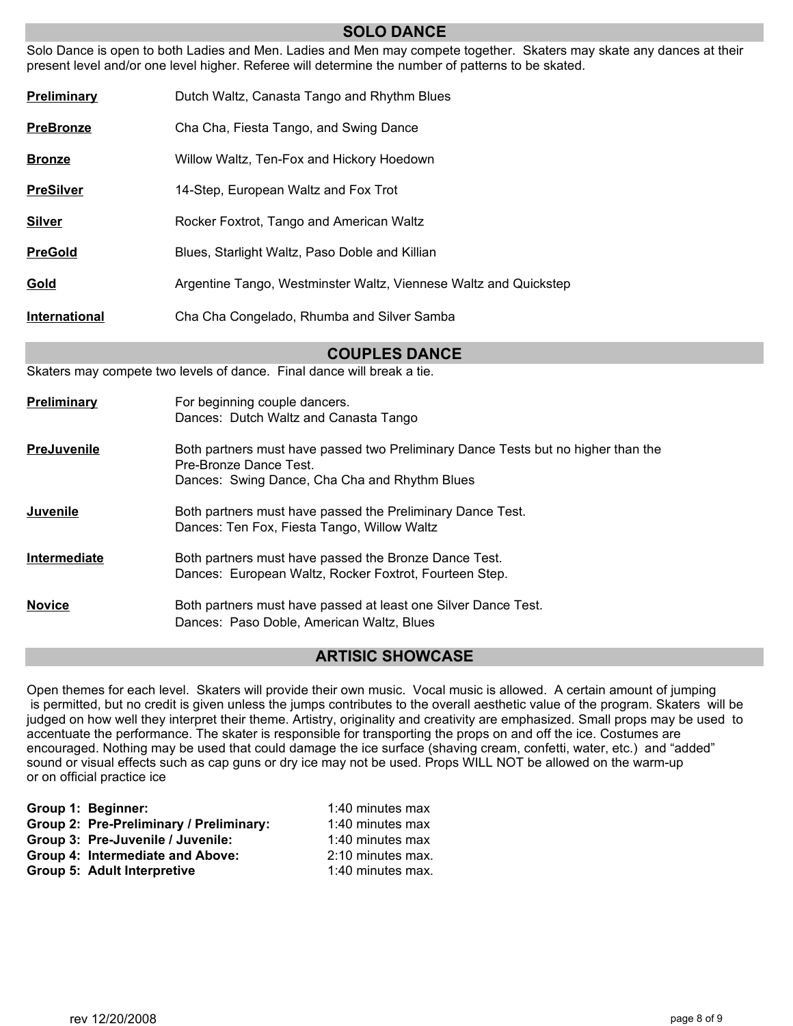#### **SOLO DANCE**

Solo Dance is open to both Ladies and Men. Ladies and Men may compete together. Skaters may skate any dances at their present level and/or one level higher. Referee will determine the number of patterns to be skated.

| Preliminary      | Dutch Waltz, Canasta Tango and Rhythm Blues                      |
|------------------|------------------------------------------------------------------|
| <b>PreBronze</b> | Cha Cha, Fiesta Tango, and Swing Dance                           |
| <b>Bronze</b>    | Willow Waltz, Ten-Fox and Hickory Hoedown                        |
| <b>PreSilver</b> | 14-Step, European Waltz and Fox Trot                             |
| <b>Silver</b>    | Rocker Foxtrot, Tango and American Waltz                         |
| <b>PreGold</b>   | Blues, Starlight Waltz, Paso Doble and Killian                   |
| Gold             | Argentine Tango, Westminster Waltz, Viennese Waltz and Quickstep |
| International    | Cha Cha Congelado, Rhumba and Silver Samba                       |

**COUPLES DANCE**

Skaters may compete two levels of dance. Final dance will break a tie.

| Preliminary         | For beginning couple dancers.<br>Dances: Dutch Waltz and Canasta Tango                                                                                      |
|---------------------|-------------------------------------------------------------------------------------------------------------------------------------------------------------|
| <b>PreJuvenile</b>  | Both partners must have passed two Preliminary Dance Tests but no higher than the<br>Pre-Bronze Dance Test<br>Dances: Swing Dance, Cha Cha and Rhythm Blues |
| Juvenile            | Both partners must have passed the Preliminary Dance Test.<br>Dances: Ten Fox, Fiesta Tango, Willow Waltz                                                   |
| <b>Intermediate</b> | Both partners must have passed the Bronze Dance Test.<br>Dances: European Waltz, Rocker Foxtrot, Fourteen Step.                                             |
| <b>Novice</b>       | Both partners must have passed at least one Silver Dance Test.<br>Dances: Paso Doble, American Waltz, Blues                                                 |

## **ARTISIC SHOWCASE**

Open themes for each level. Skaters will provide their own music. Vocal music is allowed. A certain amount of jumping is permitted, but no credit is given unless the jumps contributes to the overall aesthetic value of the program. Skaters will be judged on how well they interpret their theme. Artistry, originality and creativity are emphasized. Small props may be used to accentuate the performance. The skater is responsible for transporting the props on and off the ice. Costumes are encouraged. Nothing may be used that could damage the ice surface (shaving cream, confetti, water, etc.) and "added" sound or visual effects such as cap guns or dry ice may not be used. Props WILL NOT be allowed on the warm-up or on official practice ice

| Group 1: Beginner:                      | 1:40 minutes max  |
|-----------------------------------------|-------------------|
| Group 2: Pre-Preliminary / Preliminary: | 1:40 minutes max  |
| Group 3: Pre-Juvenile / Juvenile:       | 1:40 minutes max  |
| Group 4: Intermediate and Above:        | 2:10 minutes max. |
| Group 5: Adult Interpretive             | 1:40 minutes max. |
|                                         |                   |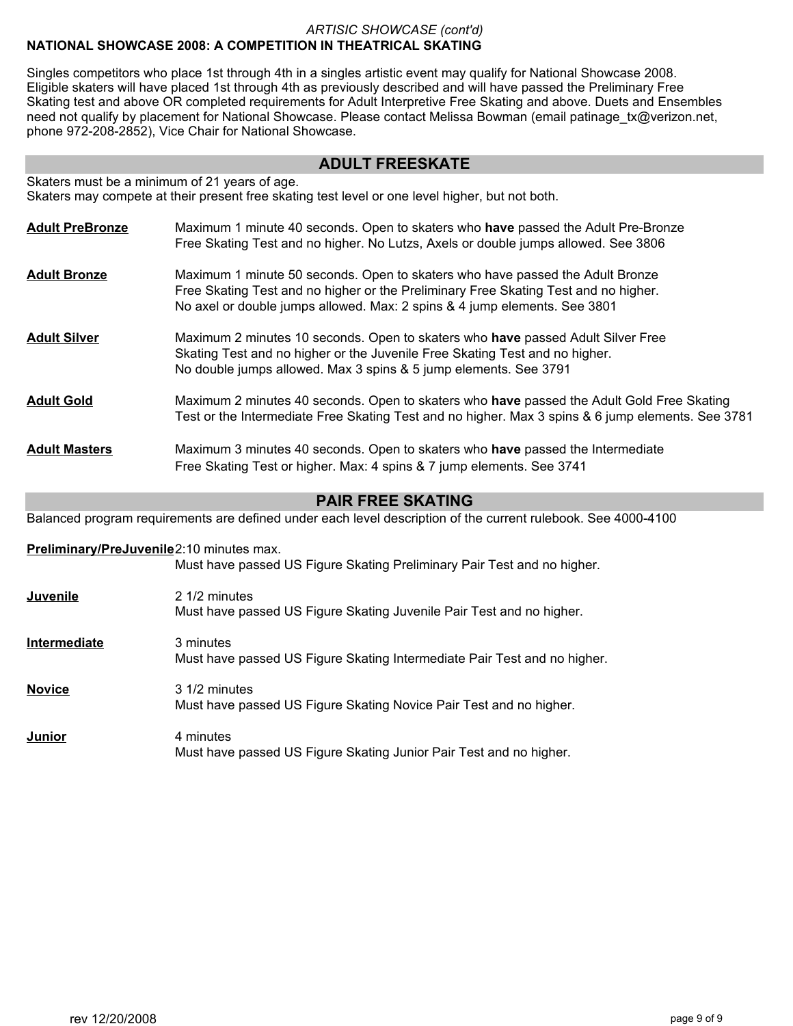#### *ARTISIC SHOWCASE (cont'd)* **NATIONAL SHOWCASE 2008: A COMPETITION IN THEATRICAL SKATING**

Singles competitors who place 1st through 4th in a singles artistic event may qualify for National Showcase 2008. Eligible skaters will have placed 1st through 4th as previously described and will have passed the Preliminary Free Skating test and above OR completed requirements for Adult Interpretive Free Skating and above. Duets and Ensembles need not qualify by placement for National Showcase. Please contact Melissa Bowman (email patinage\_tx@verizon.net, phone 972-208-2852), Vice Chair for National Showcase.

# **ADULT FREESKATE**

Skaters must be a minimum of 21 years of age. Skaters may compete at their present free skating test level or one level higher, but not both.

| <b>Adult PreBronze</b>                                                                                              | Maximum 1 minute 40 seconds. Open to skaters who have passed the Adult Pre-Bronze<br>Free Skating Test and no higher. No Lutzs, Axels or double jumps allowed. See 3806                                                                           |  |  |  |
|---------------------------------------------------------------------------------------------------------------------|---------------------------------------------------------------------------------------------------------------------------------------------------------------------------------------------------------------------------------------------------|--|--|--|
| <b>Adult Bronze</b>                                                                                                 | Maximum 1 minute 50 seconds. Open to skaters who have passed the Adult Bronze<br>Free Skating Test and no higher or the Preliminary Free Skating Test and no higher.<br>No axel or double jumps allowed. Max: 2 spins & 4 jump elements. See 3801 |  |  |  |
| <b>Adult Silver</b>                                                                                                 | Maximum 2 minutes 10 seconds. Open to skaters who have passed Adult Silver Free<br>Skating Test and no higher or the Juvenile Free Skating Test and no higher.<br>No double jumps allowed. Max 3 spins & 5 jump elements. See 3791                |  |  |  |
| <b>Adult Gold</b>                                                                                                   | Maximum 2 minutes 40 seconds. Open to skaters who have passed the Adult Gold Free Skating<br>Test or the Intermediate Free Skating Test and no higher. Max 3 spins & 6 jump elements. See 3781                                                    |  |  |  |
| <b>Adult Masters</b>                                                                                                | Maximum 3 minutes 40 seconds. Open to skaters who have passed the Intermediate<br>Free Skating Test or higher. Max: 4 spins & 7 jump elements. See 3741                                                                                           |  |  |  |
| <b>PAIR FREE SKATING</b>                                                                                            |                                                                                                                                                                                                                                                   |  |  |  |
| Balanced program requirements are defined under each level description of the current rulebook. See 4000-4100       |                                                                                                                                                                                                                                                   |  |  |  |
| Preliminary/PreJuvenile2:10 minutes max.<br>Must have passed US Figure Skating Preliminary Pair Test and no higher. |                                                                                                                                                                                                                                                   |  |  |  |
| Juvenile                                                                                                            | 2 1/2 minutes<br>Must have passed US Figure Skating Juvenile Pair Test and no higher.                                                                                                                                                             |  |  |  |
| Intermediate                                                                                                        | 3 minutes<br>Must have passed US Figure Skating Intermediate Pair Test and no higher.                                                                                                                                                             |  |  |  |

**Novice** 3 1/2 minutes Must have passed US Figure Skating Novice Pair Test and no higher. **Junior** 4 minutes

Must have passed US Figure Skating Junior Pair Test and no higher.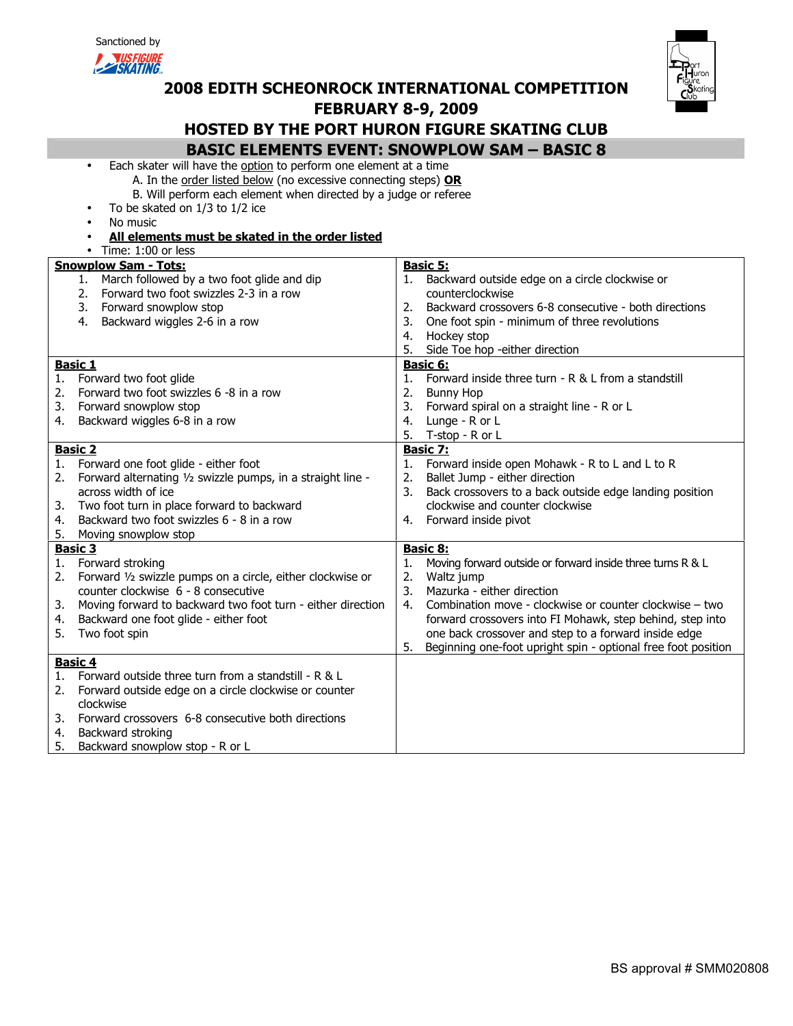| Sanctioned by |
|---------------|
|---------------|



# 2008 EDITH SCHEONROCK INTERNATIONAL COMPETITION



# FEBRUARY 8-9, 2009

# HOSTED BY THE PORT HURON FIGURE SKATING CLUB

BASIC ELEMENTS EVENT: SNOWPLOW SAM – BASIC 8

- Each skater will have the option to perform one element at a time A. In the order listed below (no excessive connecting steps) OR
	- B. Will perform each element when directed by a judge or referee
	- To be skated on 1/3 to 1/2 ice
- No music
- All elements must be skated in the order listed • Time: 1:00 or less

|                            | <b>Snowplow Sam - Tots:</b><br>1. March followed by a two foot glide and dip<br>2. Forward two foot swizzles 2-3 in a row<br>3.<br>Forward snowplow stop<br>4.<br>Backward wiggles 2-6 in a row                                                                  | 2.<br>3.<br>4.             | <b>Basic 5:</b><br>1. Backward outside edge on a circle clockwise or<br>counterclockwise<br>Backward crossovers 6-8 consecutive - both directions<br>One foot spin - minimum of three revolutions<br>Hockey stop                                                                                                                                                    |
|----------------------------|------------------------------------------------------------------------------------------------------------------------------------------------------------------------------------------------------------------------------------------------------------------|----------------------------|---------------------------------------------------------------------------------------------------------------------------------------------------------------------------------------------------------------------------------------------------------------------------------------------------------------------------------------------------------------------|
|                            |                                                                                                                                                                                                                                                                  | 5.                         | Side Toe hop -either direction                                                                                                                                                                                                                                                                                                                                      |
| 1.<br>2.<br>3.<br>4.       | <b>Basic 1</b><br>Forward two foot glide<br>Forward two foot swizzles 6 -8 in a row<br>Forward snowplow stop<br>Backward wiggles 6-8 in a row                                                                                                                    | 1.<br>2.<br>3.<br>4.<br>5. | Basic 6:<br>Forward inside three turn - R & L from a standstill<br><b>Bunny Hop</b><br>Forward spiral on a straight line - R or L<br>Lunge - R or L<br>T-stop - R or L                                                                                                                                                                                              |
| 1.<br>2.<br>3.<br>4.<br>5. | <b>Basic 2</b><br>Forward one foot glide - either foot<br>Forward alternating 1/2 swizzle pumps, in a straight line -<br>across width of ice<br>Two foot turn in place forward to backward<br>Backward two foot swizzles 6 - 8 in a row<br>Moving snowplow stop  | 1.<br>2.<br>3.             | <b>Basic 7:</b><br>Forward inside open Mohawk - R to L and L to R<br>Ballet Jump - either direction<br>Back crossovers to a back outside edge landing position<br>clockwise and counter clockwise<br>4. Forward inside pivot                                                                                                                                        |
| 1.<br>2.<br>3.<br>4.<br>5. | <b>Basic 3</b><br>Forward stroking<br>Forward 1/2 swizzle pumps on a circle, either clockwise or<br>counter clockwise 6 - 8 consecutive<br>Moving forward to backward two foot turn - either direction<br>Backward one foot glide - either foot<br>Two foot spin | 1.<br>2.<br>3.<br>4.<br>5. | Basic 8:<br>Moving forward outside or forward inside three turns R & L<br>Waltz jump<br>Mazurka - either direction<br>Combination move - clockwise or counter clockwise - two<br>forward crossovers into FI Mohawk, step behind, step into<br>one back crossover and step to a forward inside edge<br>Beginning one-foot upright spin - optional free foot position |
| 1.<br>2.<br>3.<br>4.<br>5. | <b>Basic 4</b><br>Forward outside three turn from a standstill - R & L<br>Forward outside edge on a circle clockwise or counter<br>clockwise<br>Forward crossovers 6-8 consecutive both directions<br>Backward stroking<br>Backward snowplow stop - R or L       |                            |                                                                                                                                                                                                                                                                                                                                                                     |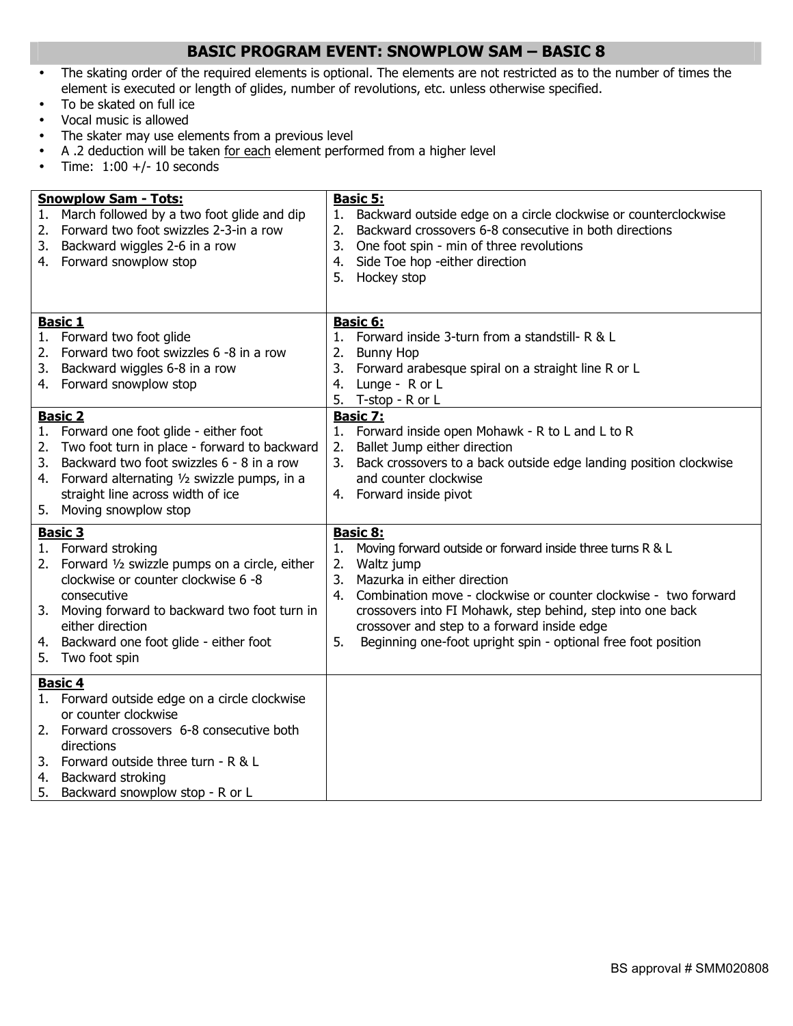# BASIC PROGRAM EVENT: SNOWPLOW SAM – BASIC 8

- The skating order of the required elements is optional. The elements are not restricted as to the number of times the element is executed or length of glides, number of revolutions, etc. unless otherwise specified.
- To be skated on full ice
- Vocal music is allowed
- The skater may use elements from a previous level
- A .2 deduction will be taken for each element performed from a higher level
- Time:  $1:00 +/- 10$  seconds

| 1.<br>2.<br>3.             | <b>Snowplow Sam - Tots:</b><br>March followed by a two foot glide and dip<br>Forward two foot swizzles 2-3-in a row<br>Backward wiggles 2-6 in a row<br>4. Forward snowplow stop                                                                                                                                                                             | 1.<br>2.<br>3.<br>4.       | <b>Basic 5:</b><br>Backward outside edge on a circle clockwise or counterclockwise<br>Backward crossovers 6-8 consecutive in both directions<br>One foot spin - min of three revolutions<br>Side Toe hop -either direction<br>5. Hockey stop                                                                              |
|----------------------------|--------------------------------------------------------------------------------------------------------------------------------------------------------------------------------------------------------------------------------------------------------------------------------------------------------------------------------------------------------------|----------------------------|---------------------------------------------------------------------------------------------------------------------------------------------------------------------------------------------------------------------------------------------------------------------------------------------------------------------------|
| 2.<br>3.                   | <b>Basic 1</b><br>1. Forward two foot glide<br>Forward two foot swizzles 6 -8 in a row<br>Backward wiggles 6-8 in a row<br>4. Forward snowplow stop                                                                                                                                                                                                          | 1.<br>2.<br>3.<br>4.<br>5. | Basic 6:<br>Forward inside 3-turn from a standstill- R & L<br><b>Bunny Hop</b><br>Forward arabesque spiral on a straight line R or L<br>Lunge - R or L<br>T-stop - R or L                                                                                                                                                 |
| 1.<br>2.<br>3.<br>4.<br>5. | <b>Basic 2</b><br>Forward one foot glide - either foot<br>Two foot turn in place - forward to backward<br>Backward two foot swizzles 6 - 8 in a row<br>Forward alternating 1/2 swizzle pumps, in a<br>straight line across width of ice<br>Moving snowplow stop<br><b>Basic 3</b><br>1. Forward stroking<br>2. Forward 1/2 swizzle pumps on a circle, either | 1.<br>2.<br>3.<br>1.<br>2. | <b>Basic 7:</b><br>Forward inside open Mohawk - R to L and L to R<br>Ballet Jump either direction<br>Back crossovers to a back outside edge landing position clockwise<br>and counter clockwise<br>4. Forward inside pivot<br><b>Basic 8:</b><br>Moving forward outside or forward inside three turns R & L<br>Waltz jump |
| 4.<br>5.                   | clockwise or counter clockwise 6 -8<br>consecutive<br>3. Moving forward to backward two foot turn in<br>either direction<br>Backward one foot glide - either foot<br>Two foot spin                                                                                                                                                                           | 3.<br>4.<br>5.             | Mazurka in either direction<br>Combination move - clockwise or counter clockwise - two forward<br>crossovers into FI Mohawk, step behind, step into one back<br>crossover and step to a forward inside edge<br>Beginning one-foot upright spin - optional free foot position                                              |
|                            | <b>Basic 4</b><br>1. Forward outside edge on a circle clockwise<br>or counter clockwise<br>2. Forward crossovers 6-8 consecutive both<br>directions<br>3. Forward outside three turn - R & L<br>4. Backward stroking<br>5. Backward snowplow stop - R or L                                                                                                   |                            |                                                                                                                                                                                                                                                                                                                           |